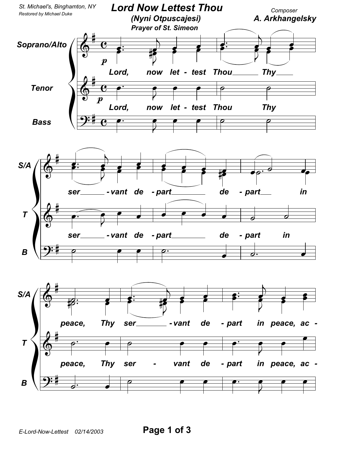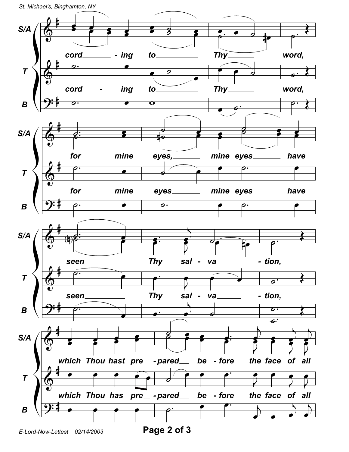St. Michael's, Binghamton, NY